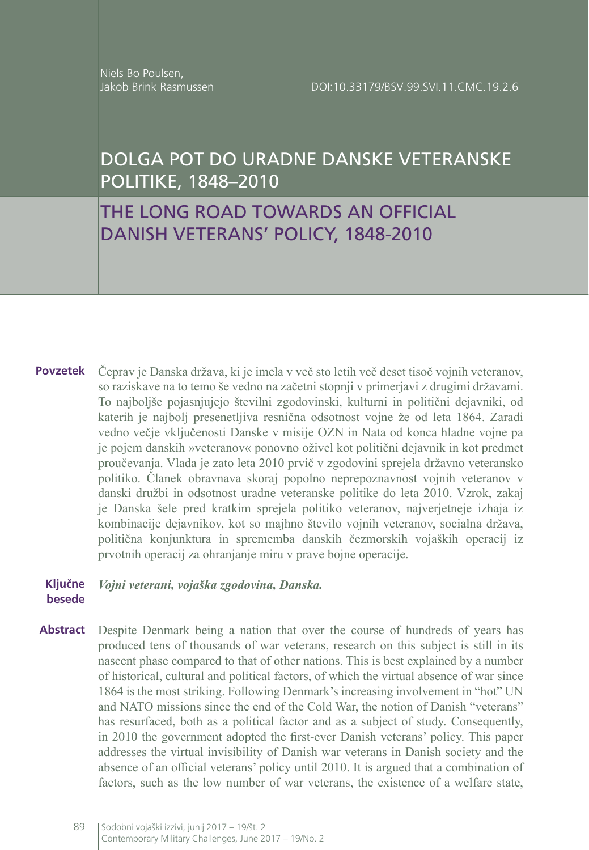# DOLGA POT DO URADNE DANSKE VETERANSKE POLITIKE, 1848–2010

THE LONG ROAD TOWARDS AN OFFICIAL DANISH VETERANS' POLICY, 1848-2010

**Povzetek** Čeprav je Danska država, ki je imela v več sto letih več deset tisoč vojnih veteranov, so raziskave na to temo še vedno na začetni stopnji v primerjavi z drugimi državami. To najboljše pojasnjujejo številni zgodovinski, kulturni in politični dejavniki, od katerih je najbolj presenetljiva resnična odsotnost vojne že od leta 1864. Zaradi vedno večje vključenosti Danske v misije OZN in Nata od konca hladne vojne pa je pojem danskih »veteranov« ponovno oživel kot politični dejavnik in kot predmet proučevanja. Vlada je zato leta 2010 prvič v zgodovini sprejela državno veteransko politiko. Članek obravnava skoraj popolno neprepoznavnost vojnih veteranov v danski družbi in odsotnost uradne veteranske politike do leta 2010. Vzrok, zakaj je Danska šele pred kratkim sprejela politiko veteranov, najverjetneje izhaja iz kombinacije dejavnikov, kot so majhno število vojnih veteranov, socialna država, politična konjunktura in sprememba danskih čezmorskih vojaških operacij iz prvotnih operacij za ohranjanje miru v prave bojne operacije.

#### **Ključne besede** *Vojni veterani, vojaška zgodovina, Danska.*

**Abstract** Despite Denmark being a nation that over the course of hundreds of years has produced tens of thousands of war veterans, research on this subject is still in its nascent phase compared to that of other nations. This is best explained by a number of historical, cultural and political factors, of which the virtual absence of war since 1864 is the most striking. Following Denmark's increasing involvement in "hot" UN and NATO missions since the end of the Cold War, the notion of Danish "veterans" has resurfaced, both as a political factor and as a subject of study. Consequently, in 2010 the government adopted the first-ever Danish veterans' policy. This paper addresses the virtual invisibility of Danish war veterans in Danish society and the absence of an official veterans' policy until 2010. It is argued that a combination of factors, such as the low number of war veterans, the existence of a welfare state,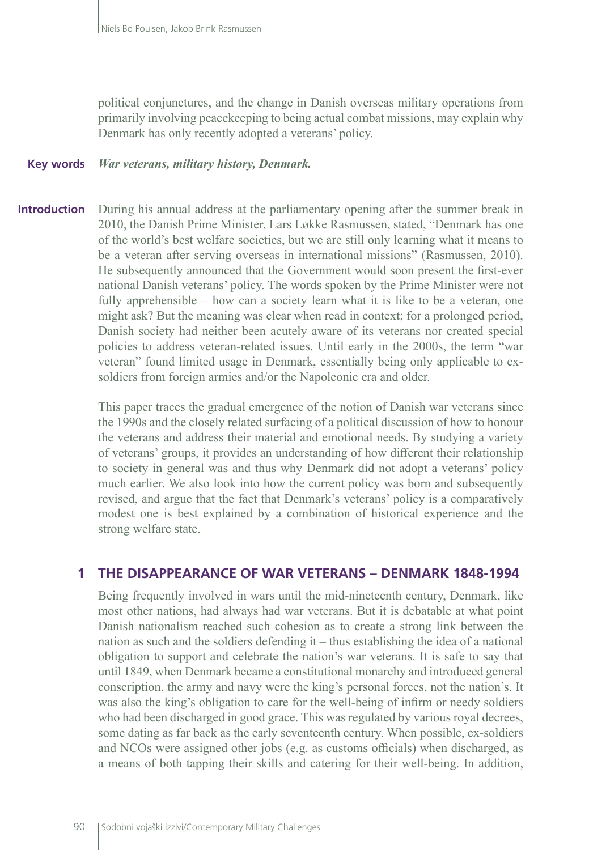political conjunctures, and the change in Danish overseas military operations from primarily involving peacekeeping to being actual combat missions, may explain why Denmark has only recently adopted a veterans' policy.

#### *War veterans, military history, Denmark.*  **Key words**

During his annual address at the parliamentary opening after the summer break in 2010, the Danish Prime Minister, Lars Løkke Rasmussen, stated, "Denmark has one of the world's best welfare societies, but we are still only learning what it means to be a veteran after serving overseas in international missions" (Rasmussen, 2010). He subsequently announced that the Government would soon present the first-ever national Danish veterans' policy. The words spoken by the Prime Minister were not fully apprehensible – how can a society learn what it is like to be a veteran, one might ask? But the meaning was clear when read in context; for a prolonged period, Danish society had neither been acutely aware of its veterans nor created special policies to address veteran-related issues. Until early in the 2000s, the term "war veteran" found limited usage in Denmark, essentially being only applicable to exsoldiers from foreign armies and/or the Napoleonic era and older. **Introduction**

> This paper traces the gradual emergence of the notion of Danish war veterans since the 1990s and the closely related surfacing of a political discussion of how to honour the veterans and address their material and emotional needs. By studying a variety of veterans' groups, it provides an understanding of how different their relationship to society in general was and thus why Denmark did not adopt a veterans' policy much earlier. We also look into how the current policy was born and subsequently revised, and argue that the fact that Denmark's veterans' policy is a comparatively modest one is best explained by a combination of historical experience and the strong welfare state.

### **1 THE DISAPPEARANCE OF WAR VETERANS – DENMARK 1848-1994**

Being frequently involved in wars until the mid-nineteenth century, Denmark, like most other nations, had always had war veterans. But it is debatable at what point Danish nationalism reached such cohesion as to create a strong link between the nation as such and the soldiers defending it – thus establishing the idea of a national obligation to support and celebrate the nation's war veterans. It is safe to say that until 1849, when Denmark became a constitutional monarchy and introduced general conscription, the army and navy were the king's personal forces, not the nation's. It was also the king's obligation to care for the well-being of infirm or needy soldiers who had been discharged in good grace. This was regulated by various royal decrees, some dating as far back as the early seventeenth century. When possible, ex-soldiers and NCOs were assigned other jobs (e.g. as customs officials) when discharged, as a means of both tapping their skills and catering for their well-being. In addition,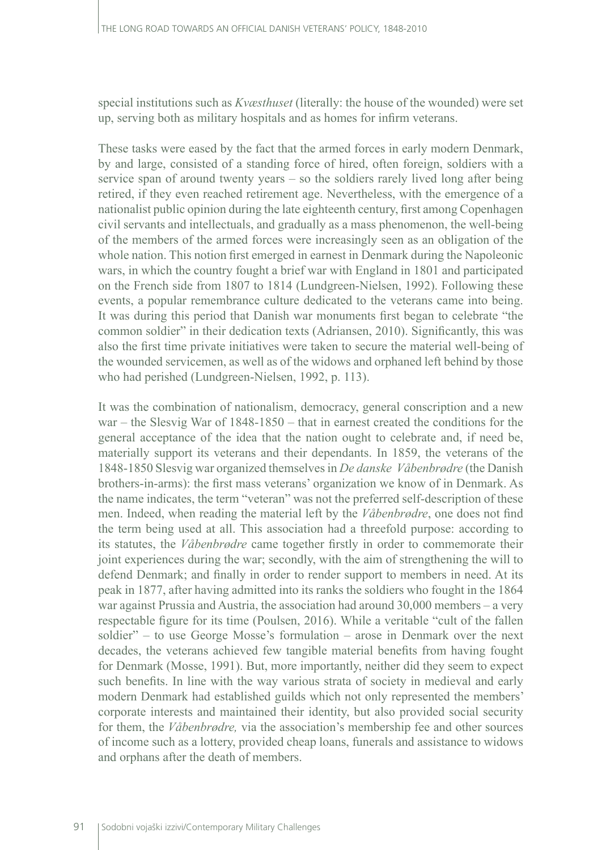special institutions such as *Kvæsthuset* (literally: the house of the wounded) were set up, serving both as military hospitals and as homes for infirm veterans.

These tasks were eased by the fact that the armed forces in early modern Denmark, by and large, consisted of a standing force of hired, often foreign, soldiers with a service span of around twenty years – so the soldiers rarely lived long after being retired, if they even reached retirement age. Nevertheless, with the emergence of a nationalist public opinion during the late eighteenth century, first among Copenhagen civil servants and intellectuals, and gradually as a mass phenomenon, the well-being of the members of the armed forces were increasingly seen as an obligation of the whole nation. This notion first emerged in earnest in Denmark during the Napoleonic wars, in which the country fought a brief war with England in 1801 and participated on the French side from 1807 to 1814 (Lundgreen-Nielsen, 1992). Following these events, a popular remembrance culture dedicated to the veterans came into being. It was during this period that Danish war monuments first began to celebrate "the common soldier" in their dedication texts (Adriansen, 2010). Significantly, this was also the first time private initiatives were taken to secure the material well-being of the wounded servicemen, as well as of the widows and orphaned left behind by those who had perished (Lundgreen-Nielsen, 1992, p. 113).

It was the combination of nationalism, democracy, general conscription and a new war – the Slesvig War of 1848-1850 – that in earnest created the conditions for the general acceptance of the idea that the nation ought to celebrate and, if need be, materially support its veterans and their dependants. In 1859, the veterans of the 1848-1850 Slesvig war organized themselves in *De danske Våbenbrødre* (the Danish brothers-in-arms): the first mass veterans' organization we know of in Denmark. As the name indicates, the term "veteran" was not the preferred self-description of these men. Indeed, when reading the material left by the *Våbenbrødre*, one does not find the term being used at all. This association had a threefold purpose: according to its statutes, the *Våbenbrødre* came together firstly in order to commemorate their joint experiences during the war; secondly, with the aim of strengthening the will to defend Denmark; and finally in order to render support to members in need. At its peak in 1877, after having admitted into its ranks the soldiers who fought in the 1864 war against Prussia and Austria, the association had around 30,000 members – a very respectable figure for its time (Poulsen, 2016). While a veritable "cult of the fallen soldier" – to use George Mosse's formulation – arose in Denmark over the next decades, the veterans achieved few tangible material benefits from having fought for Denmark (Mosse, 1991). But, more importantly, neither did they seem to expect such benefits. In line with the way various strata of society in medieval and early modern Denmark had established guilds which not only represented the members' corporate interests and maintained their identity, but also provided social security for them, the *Våbenbrødre,* via the association's membership fee and other sources of income such as a lottery, provided cheap loans, funerals and assistance to widows and orphans after the death of members.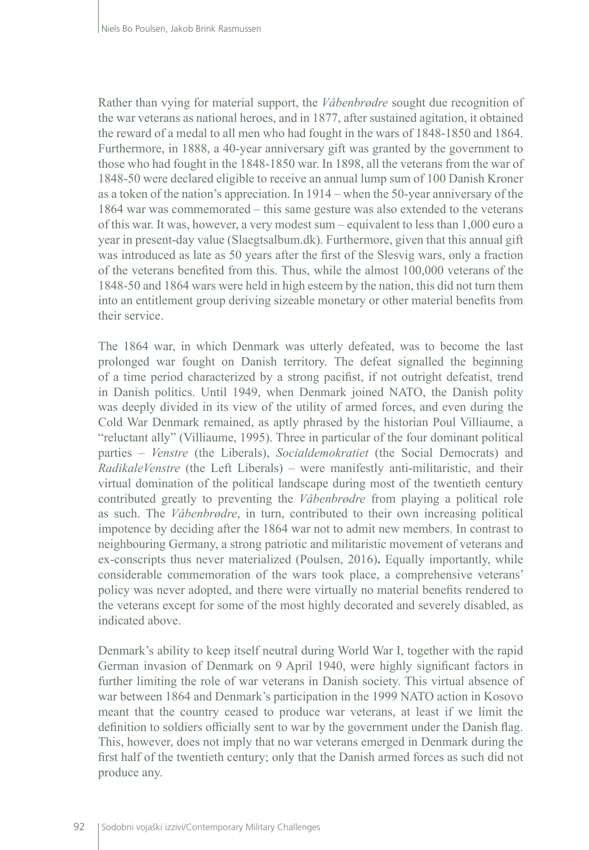Rather than vying for material support, the *Våbenbrødre* sought due recognition of the war veterans as national heroes, and in 1877, after sustained agitation, it obtained the reward of a medal to all men who had fought in the wars of 1848-1850 and 1864. Furthermore, in 1888, a 40-year anniversary gift was granted by the government to those who had fought in the 1848-1850 war. In 1898, all the veterans from the war of 1848-50 were declared eligible to receive an annual lump sum of 100 Danish Kroner as a token of the nation's appreciation. In 1914 – when the 50-year anniversary of the 1864 war was commemorated – this same gesture was also extended to the veterans of this war. It was, however, a very modest sum – equivalent to less than 1,000 euro a year in present-day value (Slaegtsalbum.dk). Furthermore, given that this annual gift was introduced as late as 50 years after the first of the Slesvig wars, only a fraction of the veterans benefited from this. Thus, while the almost 100,000 veterans of the 1848-50 and 1864 wars were held in high esteem by the nation, this did not turn them into an entitlement group deriving sizeable monetary or other material benefits from their service.

The 1864 war, in which Denmark was utterly defeated, was to become the last prolonged war fought on Danish territory. The defeat signalled the beginning of a time period characterized by a strong pacifist, if not outright defeatist, trend in Danish politics. Until 1949, when Denmark joined NATO, the Danish polity was deeply divided in its view of the utility of armed forces, and even during the Cold War Denmark remained, as aptly phrased by the historian Poul Villiaume, a "reluctant ally" (Villiaume, 1995). Three in particular of the four dominant political parties – *Venstre* (the Liberals), *Socialdemokratiet* (the Social Democrats) and *RadikaleVenstre* (the Left Liberals) – were manifestly anti-militaristic, and their virtual domination of the political landscape during most of the twentieth century contributed greatly to preventing the *Våbenbrødre* from playing a political role as such. The *Våbenbrødre*, in turn, contributed to their own increasing political impotence by deciding after the 1864 war not to admit new members. In contrast to neighbouring Germany, a strong patriotic and militaristic movement of veterans and ex-conscripts thus never materialized (Poulsen, 2016)**.** Equally importantly, while considerable commemoration of the wars took place, a comprehensive veterans' policy was never adopted, and there were virtually no material benefits rendered to the veterans except for some of the most highly decorated and severely disabled, as indicated above.

Denmark's ability to keep itself neutral during World War I, together with the rapid German invasion of Denmark on 9 April 1940, were highly significant factors in further limiting the role of war veterans in Danish society. This virtual absence of war between 1864 and Denmark's participation in the 1999 NATO action in Kosovo meant that the country ceased to produce war veterans, at least if we limit the definition to soldiers officially sent to war by the government under the Danish flag. This, however, does not imply that no war veterans emerged in Denmark during the first half of the twentieth century; only that the Danish armed forces as such did not produce any.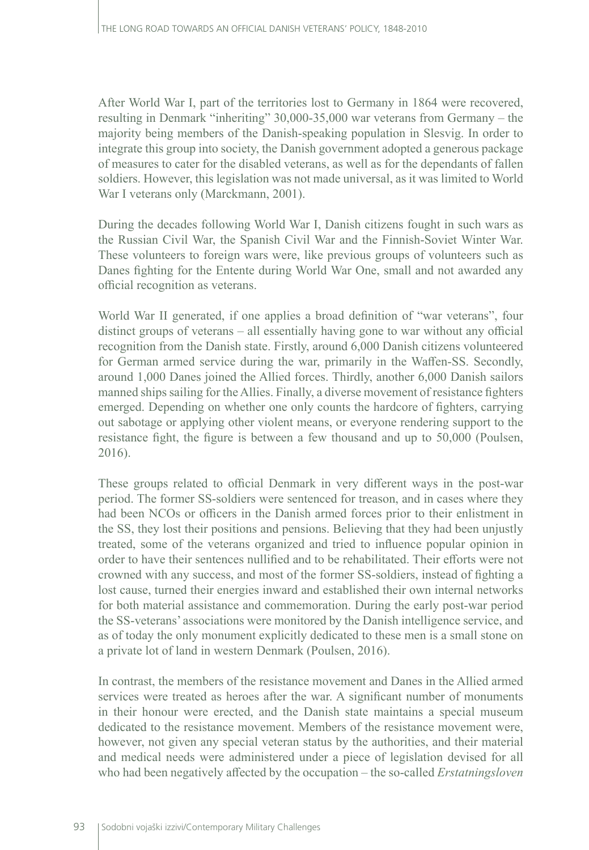After World War I, part of the territories lost to Germany in 1864 were recovered, resulting in Denmark "inheriting" 30,000-35,000 war veterans from Germany – the majority being members of the Danish-speaking population in Slesvig. In order to integrate this group into society, the Danish government adopted a generous package of measures to cater for the disabled veterans, as well as for the dependants of fallen soldiers. However, this legislation was not made universal, as it was limited to World War I veterans only (Marckmann, 2001).

During the decades following World War I, Danish citizens fought in such wars as the Russian Civil War, the Spanish Civil War and the Finnish-Soviet Winter War. These volunteers to foreign wars were, like previous groups of volunteers such as Danes fighting for the Entente during World War One, small and not awarded any official recognition as veterans.

World War II generated, if one applies a broad definition of "war veterans", four distinct groups of veterans – all essentially having gone to war without any official recognition from the Danish state. Firstly, around 6,000 Danish citizens volunteered for German armed service during the war, primarily in the Waffen-SS. Secondly, around 1,000 Danes joined the Allied forces. Thirdly, another 6,000 Danish sailors manned ships sailing for the Allies. Finally, a diverse movement of resistance fighters emerged. Depending on whether one only counts the hardcore of fighters, carrying out sabotage or applying other violent means, or everyone rendering support to the resistance fight, the figure is between a few thousand and up to 50,000 (Poulsen, 2016).

These groups related to official Denmark in very different ways in the post-war period. The former SS-soldiers were sentenced for treason, and in cases where they had been NCOs or officers in the Danish armed forces prior to their enlistment in the SS, they lost their positions and pensions. Believing that they had been unjustly treated, some of the veterans organized and tried to influence popular opinion in order to have their sentences nullified and to be rehabilitated. Their efforts were not crowned with any success, and most of the former SS-soldiers, instead of fighting a lost cause, turned their energies inward and established their own internal networks for both material assistance and commemoration. During the early post-war period the SS-veterans' associations were monitored by the Danish intelligence service, and as of today the only monument explicitly dedicated to these men is a small stone on a private lot of land in western Denmark (Poulsen, 2016).

In contrast, the members of the resistance movement and Danes in the Allied armed services were treated as heroes after the war. A significant number of monuments in their honour were erected, and the Danish state maintains a special museum dedicated to the resistance movement. Members of the resistance movement were, however, not given any special veteran status by the authorities, and their material and medical needs were administered under a piece of legislation devised for all who had been negatively affected by the occupation – the so-called *Erstatningsloven*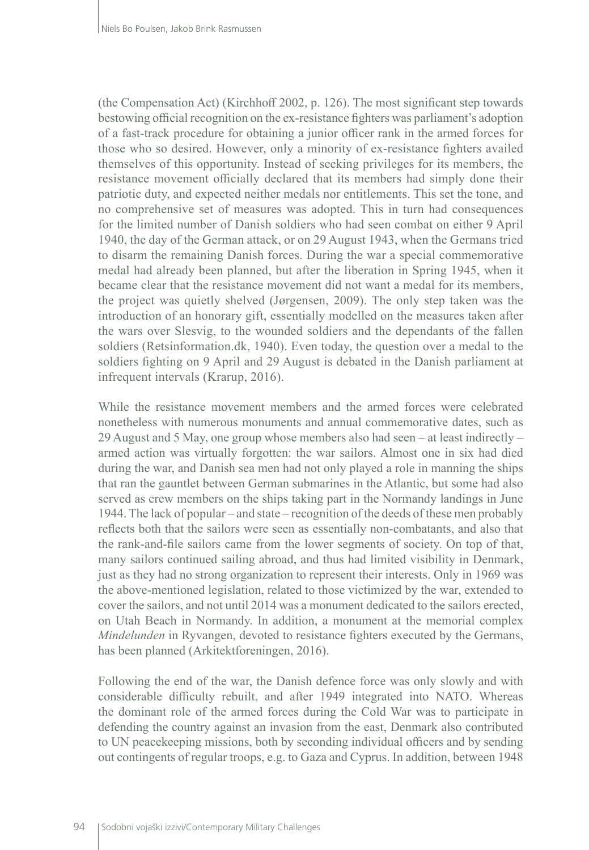(the Compensation Act) (Kirchhoff 2002, p. 126). The most significant step towards bestowing official recognition on the ex-resistance fighters was parliament's adoption of a fast-track procedure for obtaining a junior officer rank in the armed forces for those who so desired. However, only a minority of ex-resistance fighters availed themselves of this opportunity. Instead of seeking privileges for its members, the resistance movement officially declared that its members had simply done their patriotic duty, and expected neither medals nor entitlements. This set the tone, and no comprehensive set of measures was adopted. This in turn had consequences for the limited number of Danish soldiers who had seen combat on either 9 April 1940, the day of the German attack, or on 29 August 1943, when the Germans tried to disarm the remaining Danish forces. During the war a special commemorative medal had already been planned, but after the liberation in Spring 1945, when it became clear that the resistance movement did not want a medal for its members, the project was quietly shelved (Jørgensen, 2009). The only step taken was the introduction of an honorary gift, essentially modelled on the measures taken after the wars over Slesvig, to the wounded soldiers and the dependants of the fallen soldiers (Retsinformation.dk, 1940). Even today, the question over a medal to the soldiers fighting on 9 April and 29 August is debated in the Danish parliament at infrequent intervals (Krarup, 2016).

While the resistance movement members and the armed forces were celebrated nonetheless with numerous monuments and annual commemorative dates, such as 29 August and 5 May, one group whose members also had seen – at least indirectly – armed action was virtually forgotten: the war sailors. Almost one in six had died during the war, and Danish sea men had not only played a role in manning the ships that ran the gauntlet between German submarines in the Atlantic, but some had also served as crew members on the ships taking part in the Normandy landings in June 1944. The lack of popular – and state – recognition of the deeds of these men probably reflects both that the sailors were seen as essentially non-combatants, and also that the rank-and-file sailors came from the lower segments of society. On top of that, many sailors continued sailing abroad, and thus had limited visibility in Denmark, just as they had no strong organization to represent their interests. Only in 1969 was the above-mentioned legislation, related to those victimized by the war, extended to cover the sailors, and not until 2014 was a monument dedicated to the sailors erected, on Utah Beach in Normandy. In addition, a monument at the memorial complex *Mindelunden* in Ryvangen, devoted to resistance fighters executed by the Germans, has been planned (Arkitektforeningen, 2016).

Following the end of the war, the Danish defence force was only slowly and with considerable difficulty rebuilt, and after 1949 integrated into NATO. Whereas the dominant role of the armed forces during the Cold War was to participate in defending the country against an invasion from the east, Denmark also contributed to UN peacekeeping missions, both by seconding individual officers and by sending out contingents of regular troops, e.g. to Gaza and Cyprus. In addition, between 1948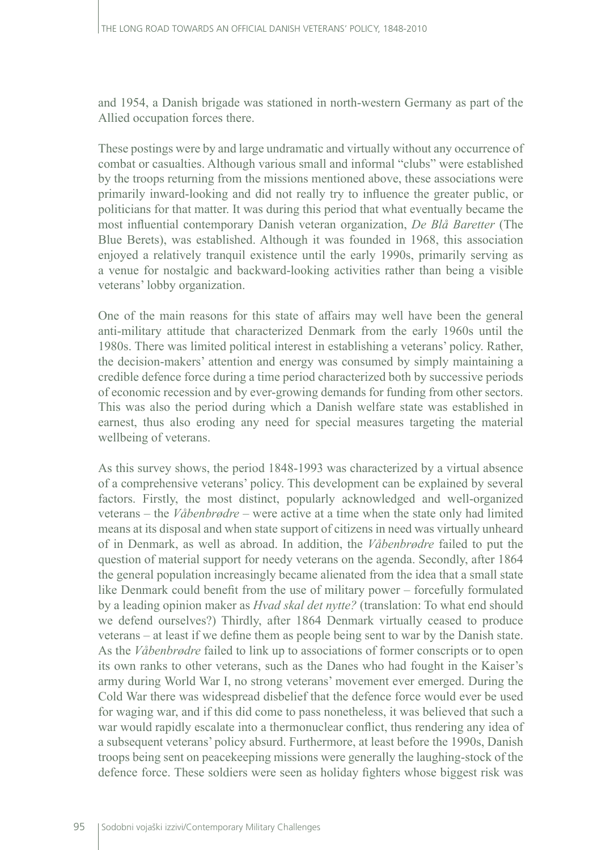and 1954, a Danish brigade was stationed in north-western Germany as part of the Allied occupation forces there.

These postings were by and large undramatic and virtually without any occurrence of combat or casualties. Although various small and informal "clubs" were established by the troops returning from the missions mentioned above, these associations were primarily inward-looking and did not really try to influence the greater public, or politicians for that matter. It was during this period that what eventually became the most influential contemporary Danish veteran organization, *De Blå Baretter* (The Blue Berets), was established. Although it was founded in 1968, this association enjoyed a relatively tranquil existence until the early 1990s, primarily serving as a venue for nostalgic and backward-looking activities rather than being a visible veterans' lobby organization.

One of the main reasons for this state of affairs may well have been the general anti-military attitude that characterized Denmark from the early 1960s until the 1980s. There was limited political interest in establishing a veterans' policy. Rather, the decision-makers' attention and energy was consumed by simply maintaining a credible defence force during a time period characterized both by successive periods of economic recession and by ever-growing demands for funding from other sectors. This was also the period during which a Danish welfare state was established in earnest, thus also eroding any need for special measures targeting the material wellbeing of veterans.

As this survey shows, the period 1848-1993 was characterized by a virtual absence of a comprehensive veterans' policy. This development can be explained by several factors. Firstly, the most distinct, popularly acknowledged and well-organized veterans – the *Våbenbrødre* – were active at a time when the state only had limited means at its disposal and when state support of citizens in need was virtually unheard of in Denmark, as well as abroad. In addition, the *Våbenbrødre* failed to put the question of material support for needy veterans on the agenda. Secondly, after 1864 the general population increasingly became alienated from the idea that a small state like Denmark could benefit from the use of military power – forcefully formulated by a leading opinion maker as *Hvad skal det nytte?* (translation: To what end should we defend ourselves?) Thirdly, after 1864 Denmark virtually ceased to produce veterans – at least if we define them as people being sent to war by the Danish state. As the *Våbenbrødre* failed to link up to associations of former conscripts or to open its own ranks to other veterans, such as the Danes who had fought in the Kaiser's army during World War I, no strong veterans' movement ever emerged. During the Cold War there was widespread disbelief that the defence force would ever be used for waging war, and if this did come to pass nonetheless, it was believed that such a war would rapidly escalate into a thermonuclear conflict, thus rendering any idea of a subsequent veterans' policy absurd. Furthermore, at least before the 1990s, Danish troops being sent on peacekeeping missions were generally the laughing-stock of the defence force. These soldiers were seen as holiday fighters whose biggest risk was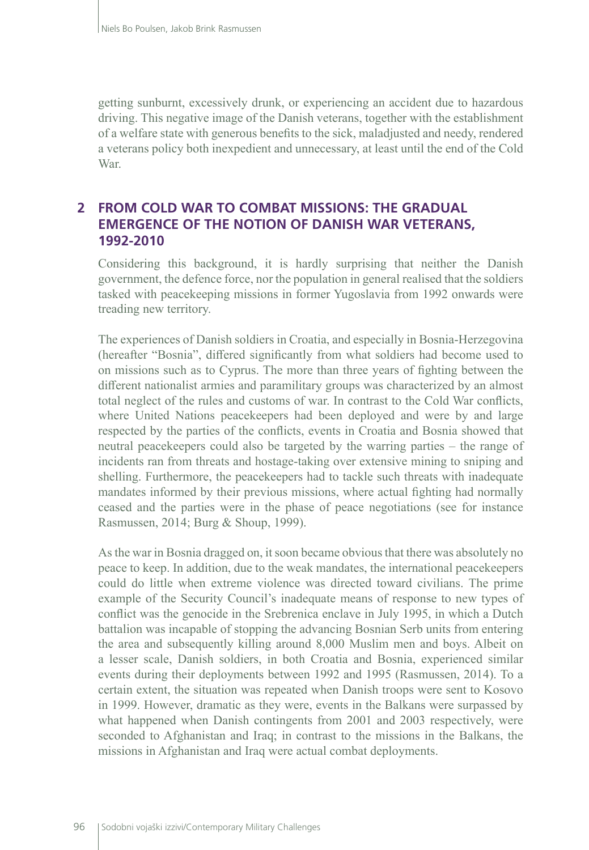getting sunburnt, excessively drunk, or experiencing an accident due to hazardous driving. This negative image of the Danish veterans, together with the establishment of a welfare state with generous benefits to the sick, maladjusted and needy, rendered a veterans policy both inexpedient and unnecessary, at least until the end of the Cold War.

## **2 FROM COLD WAR TO COMBAT MISSIONS: THE GRADUAL EMERGENCE OF THE NOTION OF DANISH WAR VETERANS, 1992-2010**

Considering this background, it is hardly surprising that neither the Danish government, the defence force, nor the population in general realised that the soldiers tasked with peacekeeping missions in former Yugoslavia from 1992 onwards were treading new territory.

The experiences of Danish soldiers in Croatia, and especially in Bosnia-Herzegovina (hereafter "Bosnia", differed significantly from what soldiers had become used to on missions such as to Cyprus. The more than three years of fighting between the different nationalist armies and paramilitary groups was characterized by an almost total neglect of the rules and customs of war. In contrast to the Cold War conflicts, where United Nations peacekeepers had been deployed and were by and large respected by the parties of the conflicts, events in Croatia and Bosnia showed that neutral peacekeepers could also be targeted by the warring parties – the range of incidents ran from threats and hostage-taking over extensive mining to sniping and shelling. Furthermore, the peacekeepers had to tackle such threats with inadequate mandates informed by their previous missions, where actual fighting had normally ceased and the parties were in the phase of peace negotiations (see for instance Rasmussen, 2014; Burg & Shoup, 1999).

As the war in Bosnia dragged on, it soon became obvious that there was absolutely no peace to keep. In addition, due to the weak mandates, the international peacekeepers could do little when extreme violence was directed toward civilians. The prime example of the Security Council's inadequate means of response to new types of conflict was the genocide in the Srebrenica enclave in July 1995, in which a Dutch battalion was incapable of stopping the advancing Bosnian Serb units from entering the area and subsequently killing around 8,000 Muslim men and boys. Albeit on a lesser scale, Danish soldiers, in both Croatia and Bosnia, experienced similar events during their deployments between 1992 and 1995 (Rasmussen, 2014). To a certain extent, the situation was repeated when Danish troops were sent to Kosovo in 1999. However, dramatic as they were, events in the Balkans were surpassed by what happened when Danish contingents from 2001 and 2003 respectively, were seconded to Afghanistan and Iraq; in contrast to the missions in the Balkans, the missions in Afghanistan and Iraq were actual combat deployments.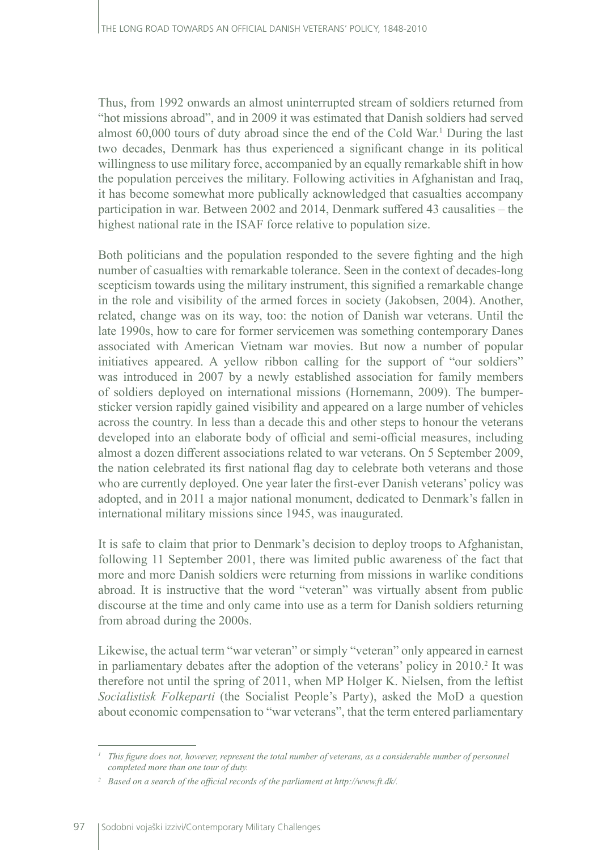Thus, from 1992 onwards an almost uninterrupted stream of soldiers returned from "hot missions abroad", and in 2009 it was estimated that Danish soldiers had served almost 60,000 tours of duty abroad since the end of the Cold War.<sup>1</sup> During the last two decades, Denmark has thus experienced a significant change in its political willingness to use military force, accompanied by an equally remarkable shift in how the population perceives the military. Following activities in Afghanistan and Iraq, it has become somewhat more publically acknowledged that casualties accompany participation in war. Between 2002 and 2014, Denmark suffered 43 causalities – the highest national rate in the ISAF force relative to population size.

Both politicians and the population responded to the severe fighting and the high number of casualties with remarkable tolerance. Seen in the context of decades-long scepticism towards using the military instrument, this signified a remarkable change in the role and visibility of the armed forces in society (Jakobsen, 2004). Another, related, change was on its way, too: the notion of Danish war veterans. Until the late 1990s, how to care for former servicemen was something contemporary Danes associated with American Vietnam war movies. But now a number of popular initiatives appeared. A yellow ribbon calling for the support of "our soldiers" was introduced in 2007 by a newly established association for family members of soldiers deployed on international missions (Hornemann, 2009). The bumpersticker version rapidly gained visibility and appeared on a large number of vehicles across the country. In less than a decade this and other steps to honour the veterans developed into an elaborate body of official and semi-official measures, including almost a dozen different associations related to war veterans. On 5 September 2009, the nation celebrated its first national flag day to celebrate both veterans and those who are currently deployed. One year later the first-ever Danish veterans' policy was adopted, and in 2011 a major national monument, dedicated to Denmark's fallen in international military missions since 1945, was inaugurated.

It is safe to claim that prior to Denmark's decision to deploy troops to Afghanistan, following 11 September 2001, there was limited public awareness of the fact that more and more Danish soldiers were returning from missions in warlike conditions abroad. It is instructive that the word "veteran" was virtually absent from public discourse at the time and only came into use as a term for Danish soldiers returning from abroad during the 2000s.

Likewise, the actual term "war veteran" or simply "veteran" only appeared in earnest in parliamentary debates after the adoption of the veterans' policy in 2010.<sup>2</sup> It was therefore not until the spring of 2011, when MP Holger K. Nielsen, from the leftist *Socialistisk Folkeparti* (the Socialist People's Party), asked the MoD a question about economic compensation to "war veterans", that the term entered parliamentary

<sup>&</sup>lt;sup>1</sup> *This figure does not, however, represent the total number of veterans, as a considerable number of personnel completed more than one tour of duty.*

*<sup>2</sup> Based on a search of the official records of the parliament at http://www.ft.dk/.*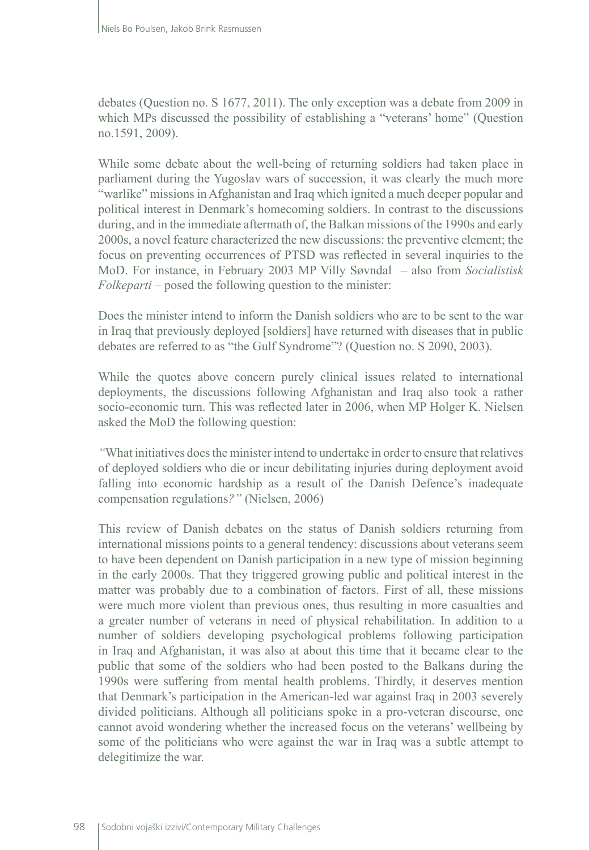debates (Question no. S 1677, 2011). The only exception was a debate from 2009 in which MPs discussed the possibility of establishing a "veterans' home" (Question no.1591, 2009).

While some debate about the well-being of returning soldiers had taken place in parliament during the Yugoslav wars of succession, it was clearly the much more "warlike" missions in Afghanistan and Iraq which ignited a much deeper popular and political interest in Denmark's homecoming soldiers. In contrast to the discussions during, and in the immediate aftermath of, the Balkan missions of the 1990s and early 2000s, a novel feature characterized the new discussions: the preventive element; the focus on preventing occurrences of PTSD was reflected in several inquiries to the MoD. For instance, in February 2003 MP Villy Søvndal – also from *Socialistisk Folkeparti* – posed the following question to the minister:

Does the minister intend to inform the Danish soldiers who are to be sent to the war in Iraq that previously deployed [soldiers] have returned with diseases that in public debates are referred to as "the Gulf Syndrome"? (Question no. S 2090, 2003).

While the quotes above concern purely clinical issues related to international deployments, the discussions following Afghanistan and Iraq also took a rather socio-economic turn. This was reflected later in 2006, when MP Holger K. Nielsen asked the MoD the following question:

*"*What initiatives does the minister intend to undertake in order to ensure that relatives of deployed soldiers who die or incur debilitating injuries during deployment avoid falling into economic hardship as a result of the Danish Defence's inadequate compensation regulations*?"* (Nielsen, 2006)

This review of Danish debates on the status of Danish soldiers returning from international missions points to a general tendency: discussions about veterans seem to have been dependent on Danish participation in a new type of mission beginning in the early 2000s. That they triggered growing public and political interest in the matter was probably due to a combination of factors. First of all, these missions were much more violent than previous ones, thus resulting in more casualties and a greater number of veterans in need of physical rehabilitation. In addition to a number of soldiers developing psychological problems following participation in Iraq and Afghanistan, it was also at about this time that it became clear to the public that some of the soldiers who had been posted to the Balkans during the 1990s were suffering from mental health problems. Thirdly, it deserves mention that Denmark's participation in the American-led war against Iraq in 2003 severely divided politicians. Although all politicians spoke in a pro-veteran discourse, one cannot avoid wondering whether the increased focus on the veterans' wellbeing by some of the politicians who were against the war in Iraq was a subtle attempt to delegitimize the war.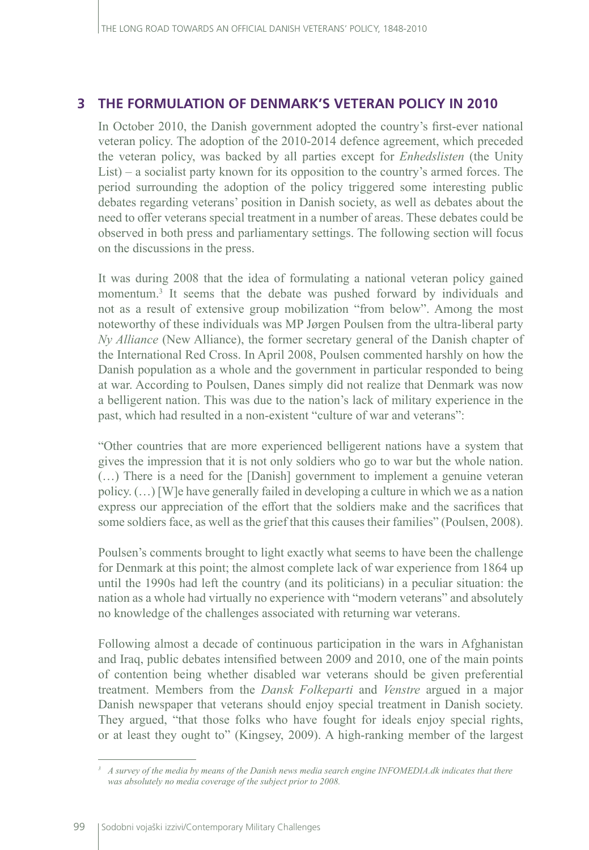### **3 THE FORMULATION OF DENMARK'S VETERAN POLICY IN 2010**

In October 2010, the Danish government adopted the country's first-ever national veteran policy. The adoption of the 2010-2014 defence agreement, which preceded the veteran policy, was backed by all parties except for *Enhedslisten* (the Unity List) – a socialist party known for its opposition to the country's armed forces. The period surrounding the adoption of the policy triggered some interesting public debates regarding veterans' position in Danish society, as well as debates about the need to offer veterans special treatment in a number of areas. These debates could be observed in both press and parliamentary settings. The following section will focus on the discussions in the press.

It was during 2008 that the idea of formulating a national veteran policy gained momentum.<sup>3</sup> It seems that the debate was pushed forward by individuals and not as a result of extensive group mobilization "from below". Among the most noteworthy of these individuals was MP Jørgen Poulsen from the ultra-liberal party *Ny Alliance* (New Alliance), the former secretary general of the Danish chapter of the International Red Cross. In April 2008, Poulsen commented harshly on how the Danish population as a whole and the government in particular responded to being at war. According to Poulsen, Danes simply did not realize that Denmark was now a belligerent nation. This was due to the nation's lack of military experience in the past, which had resulted in a non-existent "culture of war and veterans":

"Other countries that are more experienced belligerent nations have a system that gives the impression that it is not only soldiers who go to war but the whole nation. (…) There is a need for the [Danish] government to implement a genuine veteran policy. (…) [W]e have generally failed in developing a culture in which we as a nation express our appreciation of the effort that the soldiers make and the sacrifices that some soldiers face, as well as the grief that this causes their families" (Poulsen, 2008).

Poulsen's comments brought to light exactly what seems to have been the challenge for Denmark at this point; the almost complete lack of war experience from 1864 up until the 1990s had left the country (and its politicians) in a peculiar situation: the nation as a whole had virtually no experience with "modern veterans" and absolutely no knowledge of the challenges associated with returning war veterans.

Following almost a decade of continuous participation in the wars in Afghanistan and Iraq, public debates intensified between 2009 and 2010, one of the main points of contention being whether disabled war veterans should be given preferential treatment. Members from the *Dansk Folkeparti* and *Venstre* argued in a major Danish newspaper that veterans should enjoy special treatment in Danish society. They argued, "that those folks who have fought for ideals enjoy special rights, or at least they ought to" (Kingsey, 2009). A high-ranking member of the largest

*<sup>3</sup> A survey of the media by means of the Danish news media search engine INFOMEDIA.dk indicates that there was absolutely no media coverage of the subject prior to 2008.*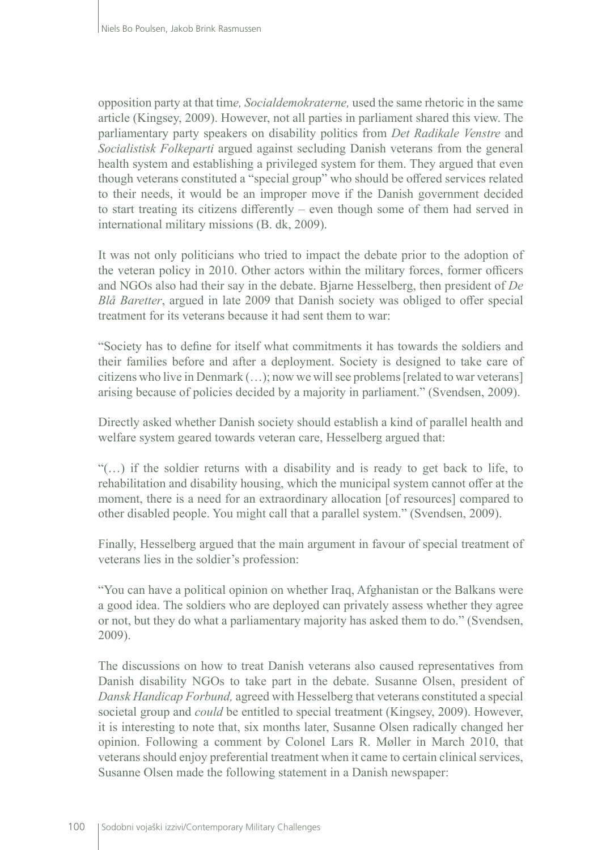opposition party at that tim*e, Socialdemokraterne,* used the same rhetoric in the same article (Kingsey, 2009). However, not all parties in parliament shared this view. The parliamentary party speakers on disability politics from *Det Radikale Venstre* and *Socialistisk Folkeparti* argued against secluding Danish veterans from the general health system and establishing a privileged system for them. They argued that even though veterans constituted a "special group" who should be offered services related to their needs, it would be an improper move if the Danish government decided to start treating its citizens differently – even though some of them had served in international military missions (B. dk, 2009).

It was not only politicians who tried to impact the debate prior to the adoption of the veteran policy in 2010. Other actors within the military forces, former officers and NGOs also had their say in the debate. Bjarne Hesselberg, then president of *De Blå Baretter*, argued in late 2009 that Danish society was obliged to offer special treatment for its veterans because it had sent them to war:

"Society has to define for itself what commitments it has towards the soldiers and their families before and after a deployment. Society is designed to take care of citizens who live in Denmark (…); now we will see problems [related to war veterans] arising because of policies decided by a majority in parliament." (Svendsen, 2009).

Directly asked whether Danish society should establish a kind of parallel health and welfare system geared towards veteran care, Hesselberg argued that:

"(…) if the soldier returns with a disability and is ready to get back to life, to rehabilitation and disability housing, which the municipal system cannot offer at the moment, there is a need for an extraordinary allocation [of resources] compared to other disabled people. You might call that a parallel system." (Svendsen, 2009).

Finally, Hesselberg argued that the main argument in favour of special treatment of veterans lies in the soldier's profession:

"You can have a political opinion on whether Iraq, Afghanistan or the Balkans were a good idea. The soldiers who are deployed can privately assess whether they agree or not, but they do what a parliamentary majority has asked them to do." (Svendsen, 2009).

The discussions on how to treat Danish veterans also caused representatives from Danish disability NGOs to take part in the debate. Susanne Olsen, president of *Dansk Handicap Forbund,* agreed with Hesselberg that veterans constituted a special societal group and *could* be entitled to special treatment (Kingsey, 2009). However, it is interesting to note that, six months later, Susanne Olsen radically changed her opinion. Following a comment by Colonel Lars R. Møller in March 2010, that veterans should enjoy preferential treatment when it came to certain clinical services, Susanne Olsen made the following statement in a Danish newspaper: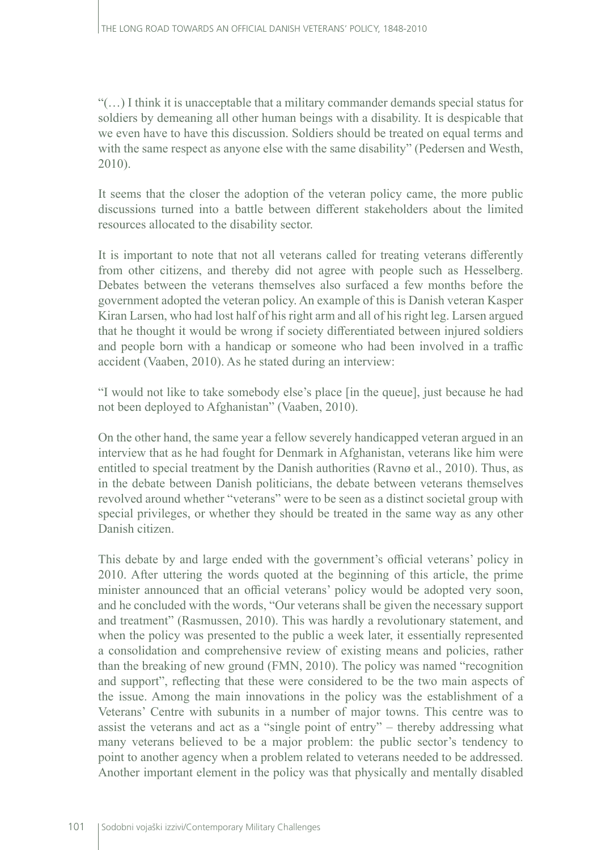"(…) I think it is unacceptable that a military commander demands special status for soldiers by demeaning all other human beings with a disability. It is despicable that we even have to have this discussion. Soldiers should be treated on equal terms and with the same respect as anyone else with the same disability" (Pedersen and Westh, 2010).

It seems that the closer the adoption of the veteran policy came, the more public discussions turned into a battle between different stakeholders about the limited resources allocated to the disability sector.

It is important to note that not all veterans called for treating veterans differently from other citizens, and thereby did not agree with people such as Hesselberg. Debates between the veterans themselves also surfaced a few months before the government adopted the veteran policy. An example of this is Danish veteran Kasper Kiran Larsen, who had lost half of his right arm and all of his right leg. Larsen argued that he thought it would be wrong if society differentiated between injured soldiers and people born with a handicap or someone who had been involved in a traffic accident (Vaaben, 2010). As he stated during an interview:

"I would not like to take somebody else's place [in the queue], just because he had not been deployed to Afghanistan" (Vaaben, 2010).

On the other hand, the same year a fellow severely handicapped veteran argued in an interview that as he had fought for Denmark in Afghanistan, veterans like him were entitled to special treatment by the Danish authorities (Ravnø et al., 2010). Thus, as in the debate between Danish politicians, the debate between veterans themselves revolved around whether "veterans" were to be seen as a distinct societal group with special privileges, or whether they should be treated in the same way as any other Danish citizen.

This debate by and large ended with the government's official veterans' policy in 2010. After uttering the words quoted at the beginning of this article, the prime minister announced that an official veterans' policy would be adopted very soon, and he concluded with the words, "Our veterans shall be given the necessary support and treatment" (Rasmussen, 2010). This was hardly a revolutionary statement, and when the policy was presented to the public a week later, it essentially represented a consolidation and comprehensive review of existing means and policies, rather than the breaking of new ground (FMN, 2010). The policy was named "recognition and support", reflecting that these were considered to be the two main aspects of the issue. Among the main innovations in the policy was the establishment of a Veterans' Centre with subunits in a number of major towns. This centre was to assist the veterans and act as a "single point of entry" – thereby addressing what many veterans believed to be a major problem: the public sector's tendency to point to another agency when a problem related to veterans needed to be addressed. Another important element in the policy was that physically and mentally disabled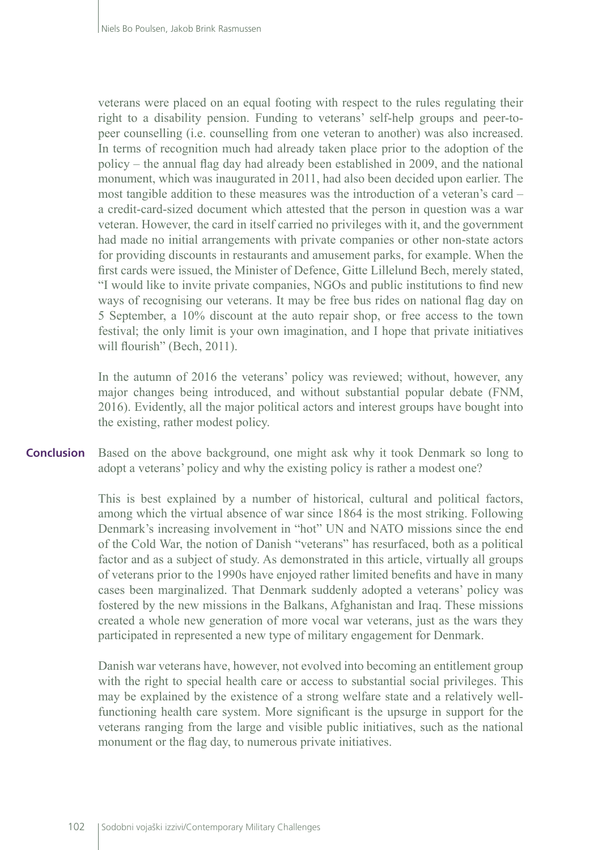veterans were placed on an equal footing with respect to the rules regulating their right to a disability pension. Funding to veterans' self-help groups and peer-topeer counselling (i.e. counselling from one veteran to another) was also increased. In terms of recognition much had already taken place prior to the adoption of the policy – the annual flag day had already been established in 2009, and the national monument, which was inaugurated in 2011, had also been decided upon earlier. The most tangible addition to these measures was the introduction of a veteran's card – a credit-card-sized document which attested that the person in question was a war veteran. However, the card in itself carried no privileges with it, and the government had made no initial arrangements with private companies or other non-state actors for providing discounts in restaurants and amusement parks, for example. When the first cards were issued, the Minister of Defence, Gitte Lillelund Bech, merely stated, "I would like to invite private companies, NGOs and public institutions to find new ways of recognising our veterans. It may be free bus rides on national flag day on 5 September, a 10% discount at the auto repair shop, or free access to the town festival; the only limit is your own imagination, and I hope that private initiatives will flourish" (Bech, 2011).

In the autumn of 2016 the veterans' policy was reviewed; without, however, any major changes being introduced, and without substantial popular debate (FNM, 2016). Evidently, all the major political actors and interest groups have bought into the existing, rather modest policy.

Based on the above background, one might ask why it took Denmark so long to adopt a veterans' policy and why the existing policy is rather a modest one? **Conclusion**

> This is best explained by a number of historical, cultural and political factors, among which the virtual absence of war since 1864 is the most striking. Following Denmark's increasing involvement in "hot" UN and NATO missions since the end of the Cold War, the notion of Danish "veterans" has resurfaced, both as a political factor and as a subject of study. As demonstrated in this article, virtually all groups of veterans prior to the 1990s have enjoyed rather limited benefits and have in many cases been marginalized. That Denmark suddenly adopted a veterans' policy was fostered by the new missions in the Balkans, Afghanistan and Iraq. These missions created a whole new generation of more vocal war veterans, just as the wars they participated in represented a new type of military engagement for Denmark.

> Danish war veterans have, however, not evolved into becoming an entitlement group with the right to special health care or access to substantial social privileges. This may be explained by the existence of a strong welfare state and a relatively wellfunctioning health care system. More significant is the upsurge in support for the veterans ranging from the large and visible public initiatives, such as the national monument or the flag day, to numerous private initiatives.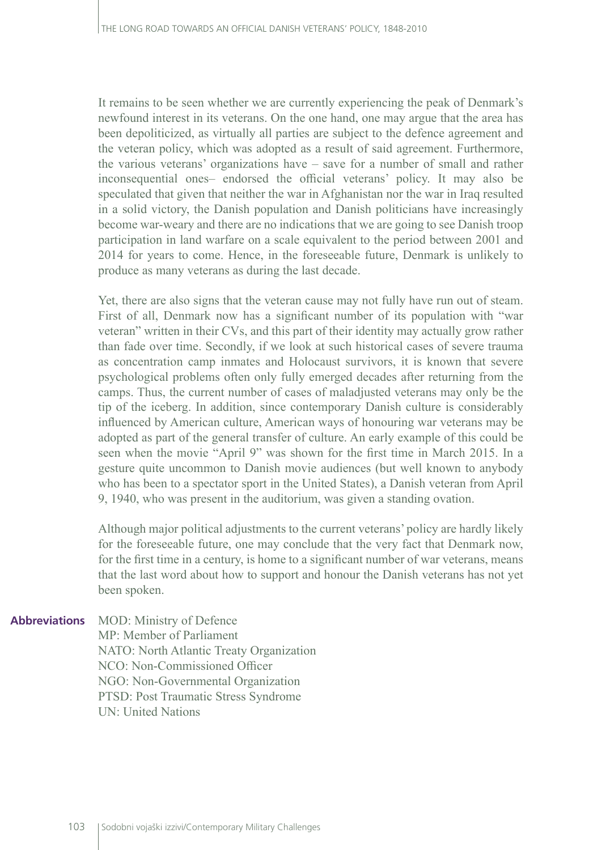It remains to be seen whether we are currently experiencing the peak of Denmark's newfound interest in its veterans. On the one hand, one may argue that the area has been depoliticized, as virtually all parties are subject to the defence agreement and the veteran policy, which was adopted as a result of said agreement. Furthermore, the various veterans' organizations have – save for a number of small and rather inconsequential ones– endorsed the official veterans' policy. It may also be speculated that given that neither the war in Afghanistan nor the war in Iraq resulted in a solid victory, the Danish population and Danish politicians have increasingly become war-weary and there are no indications that we are going to see Danish troop participation in land warfare on a scale equivalent to the period between 2001 and 2014 for years to come. Hence, in the foreseeable future, Denmark is unlikely to produce as many veterans as during the last decade.

Yet, there are also signs that the veteran cause may not fully have run out of steam. First of all, Denmark now has a significant number of its population with "war veteran" written in their CVs, and this part of their identity may actually grow rather than fade over time. Secondly, if we look at such historical cases of severe trauma as concentration camp inmates and Holocaust survivors, it is known that severe psychological problems often only fully emerged decades after returning from the camps. Thus, the current number of cases of maladjusted veterans may only be the tip of the iceberg. In addition, since contemporary Danish culture is considerably influenced by American culture, American ways of honouring war veterans may be adopted as part of the general transfer of culture. An early example of this could be seen when the movie "April 9" was shown for the first time in March 2015. In a gesture quite uncommon to Danish movie audiences (but well known to anybody who has been to a spectator sport in the United States), a Danish veteran from April 9, 1940, who was present in the auditorium, was given a standing ovation.

Although major political adjustments to the current veterans' policy are hardly likely for the foreseeable future, one may conclude that the very fact that Denmark now, for the first time in a century, is home to a significant number of war veterans, means that the last word about how to support and honour the Danish veterans has not yet been spoken.

MOD: Ministry of Defence MP: Member of Parliament NATO: North Atlantic Treaty Organization NCO: Non-Commissioned Officer NGO: Non-Governmental Organization PTSD: Post Traumatic Stress Syndrome UN: United Nations **Abbreviations**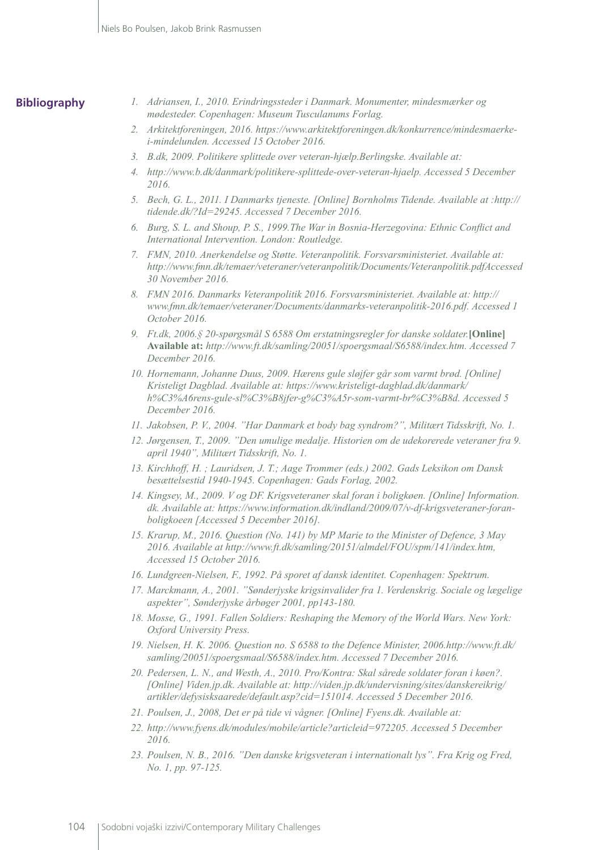#### **Bibliography**

- *1. Adriansen, I., 2010. Erindringssteder i Danmark. Monumenter, mindesmærker og mødesteder. Copenhagen: Museum Tusculanums Forlag.*
- *2. Arkitektforeningen, 2016. [https://www.arkitektforeningen.dk/konkurrence/mindesmaerke](https://www.arkitektforeningen.dk/konkurrence/mindesmaerke-i-mindelunden)[i-mindelunden.](https://www.arkitektforeningen.dk/konkurrence/mindesmaerke-i-mindelunden) Accessed 15 October 2016.*
- *3. B.dk, 2009. Politikere splittede over veteran-hjælp.Berlingske. Available at:*
- *4. <http://www.b.dk/danmark/politikere-splittede-over-veteran-hjaelp>. Accessed 5 December 2016.*
- 5. *Bech, G. L., 2011. I Danmarks tjeneste. [Online] Bornholms Tidende. Available at [:http://](http://tidende.dk/?Id=29245) [tidende.dk/?Id=29245.](http://tidende.dk/?Id=29245) Accessed 7 December 2016.*
- *6. Burg, S. L. and Shoup, P. S., 1999.The War in Bosnia-Herzegovina: Ethnic Conflict and International Intervention. London: Routledge.*
- *7. FMN, 2010. Anerkendelse og Støtte. Veteranpolitik. Forsvarsministeriet. Available at: <http://www.fmn.dk/temaer/veteraner/veteranpolitik/Documents/Veteranpolitik.pdf>Accessed 30 November 2016.*
- *8. FMN 2016. Danmarks Veteranpolitik 2016. Forsvarsministeriet. Available at: http:// www.fmn.dk/temaer/veteraner/Documents/danmarks-veteranpolitik-2016.pdf. Accessed 1 October 2016.*
- *9. Ft.dk, 2006.§ 20-spørgsmål S 6588 Om erstatningsregler for danske soldater.***[Online] Available at:** *[http://www.ft.dk/samling/20051/spoergsmaal/S6588/index.htm.](http://www.ft.dk/samling/20051/spoergsmaal/S6588/index.htm) Accessed 7 December 2016.*
- *10. Hornemann, Johanne Duus, 2009. Hærens gule sløjfer går som varmt brød. [Online] Kristeligt Dagblad. Available at: [https://www.kristeligt-dagblad.dk/danmark/](https://www.kristeligt-dagblad.dk/danmark/h%C3%A6rens-gule-sl%C3%B8jfer-g%C3%A5r-som-varmt-br%C3%B8d) [h%C3%A6rens-gule-sl%C3%B8jfer-g%C3%A5r-som-varmt-br%C3%B8d.](https://www.kristeligt-dagblad.dk/danmark/h%C3%A6rens-gule-sl%C3%B8jfer-g%C3%A5r-som-varmt-br%C3%B8d) Accessed 5 December 2016.*
- *11. Jakobsen, P. V., 2004. "Har Danmark et body bag syndrom?", Militært Tidsskrift, No. 1.*
- *12. Jørgensen, T., 2009. "Den umulige medalje. Historien om de udekorerede veteraner fra 9. april 1940", Militært Tidsskrift, No. 1.*
- *13. Kirchhoff, H. ; Lauridsen, J. T.; Aage Trommer (eds.) 2002. Gads Leksikon om Dansk besættelsestid 1940-1945. Copenhagen: Gads Forlag, 2002.*
- *14. Kingsey, M., 2009. V og DF. Krigsveteraner skal foran i boligkøen. [Online] Information. dk. Available at: [https://www.information.dk/indland/2009/07/v-df-krigsveteraner-foran](https://www.information.dk/indland/2009/07/v-df-krigsveteraner-foran-boligkoeen %5bAccessed 5 December 2016)[boligkoeen \[Accessed 5 December 2016](https://www.information.dk/indland/2009/07/v-df-krigsveteraner-foran-boligkoeen %5bAccessed 5 December 2016)].*
- *15. Krarup, M., 2016. Question (No. 141) by MP Marie to the Minister of Defence, 3 May 2016. Available at http://www.ft.dk/samling/20151/almdel/FOU/spm/141/index.htm, Accessed 15 October 2016.*
- *16. Lundgreen-Nielsen, F., 1992. På sporet af dansk identitet. Copenhagen: Spektrum.*
- *17. Marckmann, A., 2001. "Sønderjyske krigsinvalider fra 1. Verdenskrig. Sociale og lægelige aspekter", Sønderjyske årbøger 2001, pp143-180.*
- *18. Mosse, G., 1991. Fallen Soldiers: Reshaping the Memory of the World Wars. New York: Oxford University Press.*
- *19. Nielsen, H. K. 2006. Question no. S 6588 to the Defence Minister, 2006.[http://www.ft.dk/](http://www.ft.dk/samling/20051/spoergsmaal/S6588/index.htm) [samling/20051/spoergsmaal/S6588/index.htm.](http://www.ft.dk/samling/20051/spoergsmaal/S6588/index.htm) Accessed 7 December 2016.*
- *20. Pedersen, L. N., and Westh, A., 2010. Pro/Kontra: Skal sårede soldater foran i køen?. [Online] Viden.jp.dk. Available at: [http://viden.jp.dk/undervisning/sites/danskereikrig/](http://viden.jp.dk/undervisning/sites/danskereikrig/artikler/defysisksaarede/default.asp?cid=151014) [artikler/defysisksaarede/default.asp?cid=151014.](http://viden.jp.dk/undervisning/sites/danskereikrig/artikler/defysisksaarede/default.asp?cid=151014) Accessed 5 December 2016.*
- *21. Poulsen, J., 2008, Det er på tide vi vågner. [Online] Fyens.dk. Available at:*
- *22. [http://www.fyens.dk/modules/mobile/article?articleid=972205.](http://www.fyens.dk/modules/mobile/article?articleid=972205) Accessed 5 December 2016.*
- *23. Poulsen, N. B., 2016. "Den danske krigsveteran i internationalt lys". Fra Krig og Fred, No. 1, pp. 97-125.*